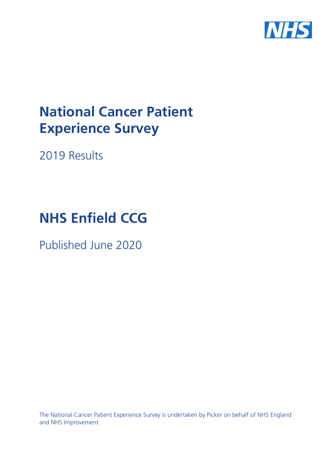

# **National Cancer Patient Experience Survey**

2019 Results

# **NHS Enfield CCG**

Published June 2020

The National Cancer Patient Experience Survey is undertaken by Picker on behalf of NHS England and NHS Improvement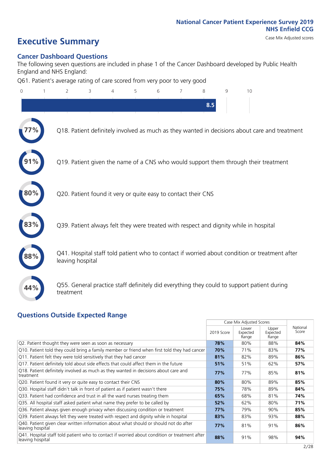# **Executive Summary** Case Mix Adjusted scores

### **Cancer Dashboard Questions**

The following seven questions are included in phase 1 of the Cancer Dashboard developed by Public Health England and NHS England:

Q61. Patient's average rating of care scored from very poor to very good

| $\overline{0}$ | $\overline{2}$   | 3                                                             | 4 | 5 | 6 | 7 | 8<br>8.5 | 9 | 10                                                                                            |  |
|----------------|------------------|---------------------------------------------------------------|---|---|---|---|----------|---|-----------------------------------------------------------------------------------------------|--|
|                |                  |                                                               |   |   |   |   |          |   | Q18. Patient definitely involved as much as they wanted in decisions about care and treatment |  |
|                |                  |                                                               |   |   |   |   |          |   | Q19. Patient given the name of a CNS who would support them through their treatment           |  |
| 80%            |                  | Q20. Patient found it very or quite easy to contact their CNS |   |   |   |   |          |   |                                                                                               |  |
|                |                  |                                                               |   |   |   |   |          |   | Q39. Patient always felt they were treated with respect and dignity while in hospital         |  |
|                | leaving hospital |                                                               |   |   |   |   |          |   | Q41. Hospital staff told patient who to contact if worried about condition or treatment after |  |
| 44%            | treatment        |                                                               |   |   |   |   |          |   | Q55. General practice staff definitely did everything they could to support patient during    |  |
|                |                  |                                                               |   |   |   |   |          |   |                                                                                               |  |

### **Questions Outside Expected Range**

|                                                                                                                   |            | Case Mix Adjusted Scores   |                            |                   |
|-------------------------------------------------------------------------------------------------------------------|------------|----------------------------|----------------------------|-------------------|
|                                                                                                                   | 2019 Score | Lower<br>Expected<br>Range | Upper<br>Expected<br>Range | National<br>Score |
| Q2. Patient thought they were seen as soon as necessary                                                           | 78%        | 80%                        | 88%                        | 84%               |
| Q10. Patient told they could bring a family member or friend when first told they had cancer                      | 70%        | 71%                        | 83%                        | 77%               |
| Q11. Patient felt they were told sensitively that they had cancer                                                 | 81%        | 82%                        | 89%                        | 86%               |
| Q17. Patient definitely told about side effects that could affect them in the future                              | 51%        | 51%                        | 62%                        | 57%               |
| Q18. Patient definitely involved as much as they wanted in decisions about care and<br>treatment                  | 77%        | 77%                        | 85%                        | 81%               |
| Q20. Patient found it very or quite easy to contact their CNS                                                     | 80%        | 80%                        | 89%                        | 85%               |
| Q30. Hospital staff didn't talk in front of patient as if patient wasn't there                                    | 75%        | 78%                        | 89%                        | 84%               |
| Q33. Patient had confidence and trust in all the ward nurses treating them                                        | 65%        | 68%                        | 81%                        | 74%               |
| Q35. All hospital staff asked patient what name they prefer to be called by                                       | 52%        | 62%                        | 80%                        | 71%               |
| Q36. Patient always given enough privacy when discussing condition or treatment                                   | 77%        | 79%                        | 90%                        | 85%               |
| Q39. Patient always felt they were treated with respect and dignity while in hospital                             | 83%        | 83%                        | 93%                        | 88%               |
| Q40. Patient given clear written information about what should or should not do after<br>leaving hospital         | 77%        | 81%                        | 91%                        | 86%               |
| Q41. Hospital staff told patient who to contact if worried about condition or treatment after<br>leaving hospital | 88%        | 91%                        | 98%                        | 94%               |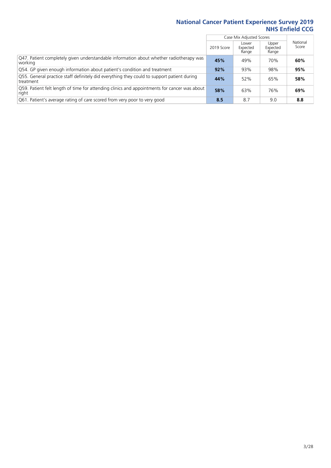|                                                                                                         |            | Case Mix Adjusted Scores   |                            |                   |
|---------------------------------------------------------------------------------------------------------|------------|----------------------------|----------------------------|-------------------|
|                                                                                                         | 2019 Score | Lower<br>Expected<br>Range | Upper<br>Expected<br>Range | National<br>Score |
| Q47. Patient completely given understandable information about whether radiotherapy was<br>working      | 45%        | 49%                        | 70%                        | 60%               |
| Q54. GP given enough information about patient's condition and treatment                                | 92%        | 93%                        | 98%                        | 95%               |
| O55. General practice staff definitely did everything they could to support patient during<br>treatment | 44%        | 52%                        | 65%                        | 58%               |
| O59. Patient felt length of time for attending clinics and appointments for cancer was about<br>right   | 58%        | 63%                        | 76%                        | 69%               |
| Q61. Patient's average rating of care scored from very poor to very good                                | 8.5        | 8.7                        | 9.0                        | 8.8               |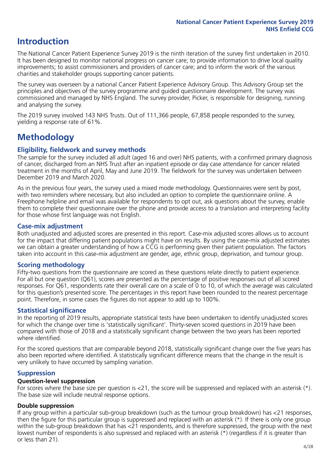# **Introduction**

The National Cancer Patient Experience Survey 2019 is the ninth iteration of the survey first undertaken in 2010. It has been designed to monitor national progress on cancer care; to provide information to drive local quality improvements; to assist commissioners and providers of cancer care; and to inform the work of the various charities and stakeholder groups supporting cancer patients.

The survey was overseen by a national Cancer Patient Experience Advisory Group. This Advisory Group set the principles and objectives of the survey programme and guided questionnaire development. The survey was commissioned and managed by NHS England. The survey provider, Picker, is responsible for designing, running and analysing the survey.

The 2019 survey involved 143 NHS Trusts. Out of 111,366 people, 67,858 people responded to the survey, yielding a response rate of 61%.

# **Methodology**

### **Eligibility, fieldwork and survey methods**

The sample for the survey included all adult (aged 16 and over) NHS patients, with a confirmed primary diagnosis of cancer, discharged from an NHS Trust after an inpatient episode or day case attendance for cancer related treatment in the months of April, May and June 2019. The fieldwork for the survey was undertaken between December 2019 and March 2020.

As in the previous four years, the survey used a mixed mode methodology. Questionnaires were sent by post, with two reminders where necessary, but also included an option to complete the questionnaire online. A Freephone helpline and email was available for respondents to opt out, ask questions about the survey, enable them to complete their questionnaire over the phone and provide access to a translation and interpreting facility for those whose first language was not English.

### **Case-mix adjustment**

Both unadjusted and adjusted scores are presented in this report. Case-mix adjusted scores allows us to account for the impact that differing patient populations might have on results. By using the case-mix adjusted estimates we can obtain a greater understanding of how a CCG is performing given their patient population. The factors taken into account in this case-mix adjustment are gender, age, ethnic group, deprivation, and tumour group.

### **Scoring methodology**

Fifty-two questions from the questionnaire are scored as these questions relate directly to patient experience. For all but one question (Q61), scores are presented as the percentage of positive responses out of all scored responses. For Q61, respondents rate their overall care on a scale of 0 to 10, of which the average was calculated for this question's presented score. The percentages in this report have been rounded to the nearest percentage point. Therefore, in some cases the figures do not appear to add up to 100%.

### **Statistical significance**

In the reporting of 2019 results, appropriate statistical tests have been undertaken to identify unadjusted scores for which the change over time is 'statistically significant'. Thirty-seven scored questions in 2019 have been compared with those of 2018 and a statistically significant change between the two years has been reported where identified.

For the scored questions that are comparable beyond 2018, statistically significant change over the five years has also been reported where identified. A statistically significant difference means that the change in the result is very unlikely to have occurred by sampling variation.

### **Suppression**

### **Question-level suppression**

For scores where the base size per question is  $<$ 21, the score will be suppressed and replaced with an asterisk (\*). The base size will include neutral response options.

### **Double suppression**

If any group within a particular sub-group breakdown (such as the tumour group breakdown) has <21 responses, then the figure for this particular group is suppressed and replaced with an asterisk (\*). If there is only one group within the sub-group breakdown that has <21 respondents, and is therefore suppressed, the group with the next lowest number of respondents is also supressed and replaced with an asterisk (\*) (regardless if it is greater than or less than 21).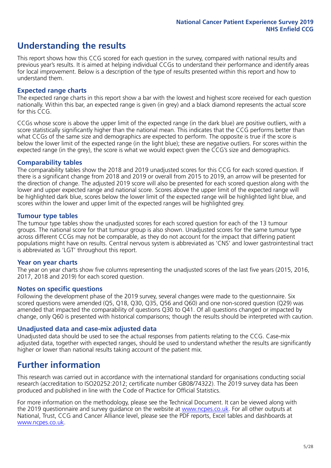# **Understanding the results**

This report shows how this CCG scored for each question in the survey, compared with national results and previous year's results. It is aimed at helping individual CCGs to understand their performance and identify areas for local improvement. Below is a description of the type of results presented within this report and how to understand them.

### **Expected range charts**

The expected range charts in this report show a bar with the lowest and highest score received for each question nationally. Within this bar, an expected range is given (in grey) and a black diamond represents the actual score for this CCG.

CCGs whose score is above the upper limit of the expected range (in the dark blue) are positive outliers, with a score statistically significantly higher than the national mean. This indicates that the CCG performs better than what CCGs of the same size and demographics are expected to perform. The opposite is true if the score is below the lower limit of the expected range (in the light blue); these are negative outliers. For scores within the expected range (in the grey), the score is what we would expect given the CCG's size and demographics.

### **Comparability tables**

The comparability tables show the 2018 and 2019 unadjusted scores for this CCG for each scored question. If there is a significant change from 2018 and 2019 or overall from 2015 to 2019, an arrow will be presented for the direction of change. The adjusted 2019 score will also be presented for each scored question along with the lower and upper expected range and national score. Scores above the upper limit of the expected range will be highlighted dark blue, scores below the lower limit of the expected range will be highlighted light blue, and scores within the lower and upper limit of the expected ranges will be highlighted grey.

### **Tumour type tables**

The tumour type tables show the unadjusted scores for each scored question for each of the 13 tumour groups. The national score for that tumour group is also shown. Unadjusted scores for the same tumour type across different CCGs may not be comparable, as they do not account for the impact that differing patient populations might have on results. Central nervous system is abbreviated as 'CNS' and lower gastrointestinal tract is abbreviated as 'LGT' throughout this report.

### **Year on year charts**

The year on year charts show five columns representing the unadjusted scores of the last five years (2015, 2016, 2017, 2018 and 2019) for each scored question.

### **Notes on specific questions**

Following the development phase of the 2019 survey, several changes were made to the questionnaire. Six scored questions were amended (Q5, Q18, Q30, Q35, Q56 and Q60) and one non-scored question (Q29) was amended that impacted the comparability of questions Q30 to Q41. Of all questions changed or impacted by change, only Q60 is presented with historical comparisons; though the results should be interpreted with caution.

### **Unadjusted data and case-mix adjusted data**

Unadjusted data should be used to see the actual responses from patients relating to the CCG. Case-mix adjusted data, together with expected ranges, should be used to understand whether the results are significantly higher or lower than national results taking account of the patient mix.

### **Further information**

This research was carried out in accordance with the international standard for organisations conducting social research (accreditation to ISO20252:2012; certificate number GB08/74322). The 2019 survey data has been produced and published in line with the Code of Practice for Official Statistics.

For more information on the methodology, please see the Technical Document. It can be viewed along with the 2019 questionnaire and survey quidance on the website at [www.ncpes.co.uk](https://www.ncpes.co.uk/supporting-documents). For all other outputs at National, Trust, CCG and Cancer Alliance level, please see the PDF reports, Excel tables and dashboards at [www.ncpes.co.uk.](https://www.ncpes.co.uk/current-results)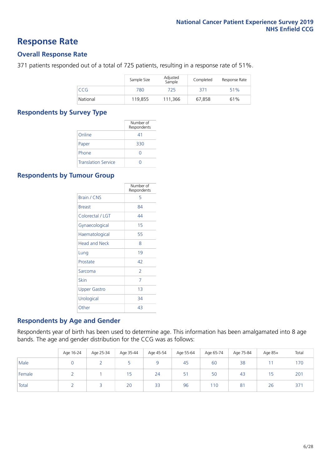### **Response Rate**

### **Overall Response Rate**

371 patients responded out of a total of 725 patients, resulting in a response rate of 51%.

|            | Sample Size | Adjusted<br>Sample | Completed | Response Rate |
|------------|-------------|--------------------|-----------|---------------|
| <b>CCG</b> | 780         | 725                | 371       | 51%           |
| National   | 119,855     | 111.366            | 67.858    | 61%           |

### **Respondents by Survey Type**

|                            | Number of<br>Respondents |
|----------------------------|--------------------------|
| Online                     | 41                       |
| Paper                      | 330                      |
| Phone                      |                          |
| <b>Translation Service</b> |                          |

### **Respondents by Tumour Group**

|                      | Number of<br>Respondents |
|----------------------|--------------------------|
| <b>Brain / CNS</b>   | 5                        |
| <b>Breast</b>        | 84                       |
| Colorectal / LGT     | 44                       |
| Gynaecological       | 15                       |
| Haematological       | 55                       |
| <b>Head and Neck</b> | 8                        |
| Lung                 | 19                       |
| Prostate             | 42                       |
| Sarcoma              | $\overline{\phantom{a}}$ |
| Skin                 | 7                        |
| Upper Gastro         | 1 <sub>3</sub>           |
| Urological           | 34                       |
| Other                | 43                       |

### **Respondents by Age and Gender**

Respondents year of birth has been used to determine age. This information has been amalgamated into 8 age bands. The age and gender distribution for the CCG was as follows:

|        | Age 16-24 | Age 25-34 | Age 35-44 | Age 45-54 | Age 55-64 | Age 65-74 | Age 75-84 | Age 85+ | Total |
|--------|-----------|-----------|-----------|-----------|-----------|-----------|-----------|---------|-------|
| Male   |           |           |           |           | 45        | 60        | 38        |         | 170   |
| Female |           |           | כ ו       | 24        | 51        | 50        | 43        | '5      | 201   |
| Total  |           |           | 20        | 33        | 96        | 110       | 81        | 26      | 371   |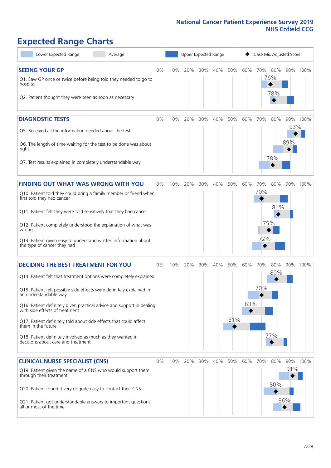# **Expected Range Charts**

| Lower Expected Range<br>Average                                                                                                                                                                                                                                                                                                                                                                                                                                                                                             |       |     | Upper Expected Range |     |     |            |            | Case Mix Adjusted Score  |                   |            |          |
|-----------------------------------------------------------------------------------------------------------------------------------------------------------------------------------------------------------------------------------------------------------------------------------------------------------------------------------------------------------------------------------------------------------------------------------------------------------------------------------------------------------------------------|-------|-----|----------------------|-----|-----|------------|------------|--------------------------|-------------------|------------|----------|
| <b>SEEING YOUR GP</b><br>Q1. Saw GP once or twice before being told they needed to go to<br>hospital<br>Q2. Patient thought they were seen as soon as necessary                                                                                                                                                                                                                                                                                                                                                             | $0\%$ | 10% | 20%                  | 30% | 40% | 50%        | 60%        | 70%                      | 80%<br>76%<br>78% |            | 90% 100% |
| <b>DIAGNOSTIC TESTS</b><br>Q5. Received all the information needed about the test<br>Q6. The length of time waiting for the test to be done was about<br>right<br>Q7. Test results explained in completely understandable way                                                                                                                                                                                                                                                                                               | 0%    | 10% | 20%                  | 30% | 40% | 50%        | 60%        | 70%                      | 80%<br>78%        | 93%<br>89% | 90% 100% |
| <b>FINDING OUT WHAT WAS WRONG WITH YOU</b><br>Q10. Patient told they could bring a family member or friend when<br>first told they had cancer<br>Q11. Patient felt they were told sensitively that they had cancer<br>Q12. Patient completely understood the explanation of what was<br>wrong<br>Q13. Patient given easy to understand written information about<br>the type of cancer they had                                                                                                                             | $0\%$ | 10% | 20%                  | 30% | 40% | 50%        | 60%        | 70%<br>70%<br>75%<br>72% | 80%<br>81%        |            | 90% 100% |
| <b>DECIDING THE BEST TREATMENT FOR YOU</b><br>Q14. Patient felt that treatment options were completely explained<br>Q15. Patient felt possible side effects were definitely explained in<br>an understandable way<br>Q16. Patient definitely given practical advice and support in dealing<br>with side effects of treatment<br>Q17. Patient definitely told about side effects that could affect<br>them in the future<br>Q18. Patient definitely involved as much as they wanted in<br>decisions about care and treatment | $0\%$ | 10% | 20%                  | 30% | 40% | 50%<br>51% | 60%<br>63% | 70%<br>70%               | 80%<br>80%<br>77% |            | 90% 100% |
| <b>CLINICAL NURSE SPECIALIST (CNS)</b><br>Q19. Patient given the name of a CNS who would support them<br>through their treatment<br>Q20. Patient found it very or quite easy to contact their CNS<br>Q21. Patient got understandable answers to important questions<br>all or most of the time                                                                                                                                                                                                                              | $0\%$ | 10% | 20%                  | 30% | 40% | 50%        | 60%        | 70%                      | 80%<br>80%        | 91%<br>86% | 90% 100% |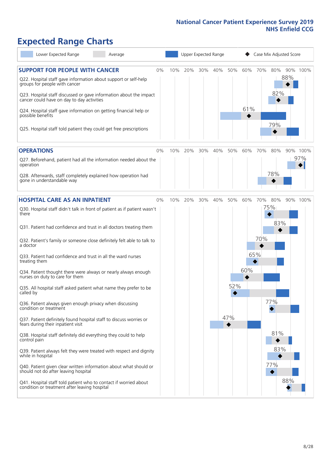# **Expected Range Charts**

| Lower Expected Range<br>Average                                                                                                                 | Upper Expected Range |     |     |     |     |     | Case Mix Adjusted Score |     |     |          |  |
|-------------------------------------------------------------------------------------------------------------------------------------------------|----------------------|-----|-----|-----|-----|-----|-------------------------|-----|-----|----------|--|
| <b>SUPPORT FOR PEOPLE WITH CANCER</b><br>0%<br>Q22. Hospital staff gave information about support or self-help<br>groups for people with cancer | 10%                  | 20% | 30% | 40% | 50% | 60% | 70%                     | 80% | 88% | 90% 100% |  |
| Q23. Hospital staff discussed or gave information about the impact<br>cancer could have on day to day activities                                |                      |     |     |     |     |     |                         | 82% |     |          |  |
| Q24. Hospital staff gave information on getting financial help or<br>possible benefits                                                          |                      |     |     |     |     | 61% |                         | 79% |     |          |  |
| Q25. Hospital staff told patient they could get free prescriptions                                                                              |                      |     |     |     |     |     |                         |     |     |          |  |
| <b>OPERATIONS</b><br>$0\%$                                                                                                                      | 10%                  | 20% | 30% | 40% | 50% | 60% | 70%                     | 80% |     | 90% 100% |  |
| Q27. Beforehand, patient had all the information needed about the<br>operation                                                                  |                      |     |     |     |     |     |                         |     |     | 97%      |  |
| Q28. Afterwards, staff completely explained how operation had<br>gone in understandable way                                                     |                      |     |     |     |     |     |                         | 78% |     |          |  |
| <b>HOSPITAL CARE AS AN INPATIENT</b><br>0%                                                                                                      | 10%                  | 20% | 30% | 40% | 50% | 60% | 70%                     | 80% |     | 90% 100% |  |
| Q30. Hospital staff didn't talk in front of patient as if patient wasn't<br>there                                                               |                      |     |     |     |     |     |                         | 75% |     |          |  |
| Q31. Patient had confidence and trust in all doctors treating them                                                                              |                      |     |     |     |     |     |                         | 83% |     |          |  |
| Q32. Patient's family or someone close definitely felt able to talk to<br>a doctor                                                              |                      |     |     |     |     |     | 70%                     |     |     |          |  |
| Q33. Patient had confidence and trust in all the ward nurses<br>treating them                                                                   |                      |     |     |     |     |     | 65%                     |     |     |          |  |
| Q34. Patient thought there were always or nearly always enough<br>nurses on duty to care for them                                               |                      |     |     |     |     | 60% |                         |     |     |          |  |
| Q35. All hospital staff asked patient what name they prefer to be<br>called by                                                                  |                      |     |     |     | 52% |     |                         |     |     |          |  |
| Q36. Patient always given enough privacy when discussing<br>condition or treatment                                                              |                      |     |     |     |     |     |                         | 77% |     |          |  |
| Q37. Patient definitely found hospital staff to discuss worries or<br>fears during their inpatient visit                                        |                      |     |     |     | 47% |     |                         |     |     |          |  |
| Q38. Hospital staff definitely did everything they could to help<br>control pain                                                                |                      |     |     |     |     |     |                         | 81% |     |          |  |
| Q39. Patient always felt they were treated with respect and dignity<br>while in hospital                                                        |                      |     |     |     |     |     |                         | 83% |     |          |  |
| Q40. Patient given clear written information about what should or<br>should not do after leaving hospital                                       |                      |     |     |     |     |     |                         | 77% |     |          |  |
| Q41. Hospital staff told patient who to contact if worried about<br>condition or treatment after leaving hospital                               |                      |     |     |     |     |     |                         |     | 88% |          |  |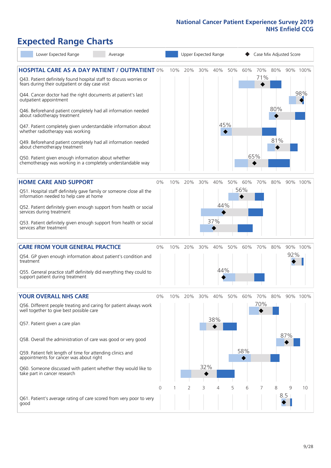# **Expected Range Charts**

| Lower Expected Range<br>Average                                                                                                                                                                                                                                                                                                                                                                                                                                                                                                                                                                                                                                                                        |       |     |     |            | Upper Expected Range |     |            | Case Mix Adjusted Score |                       |          |                 |
|--------------------------------------------------------------------------------------------------------------------------------------------------------------------------------------------------------------------------------------------------------------------------------------------------------------------------------------------------------------------------------------------------------------------------------------------------------------------------------------------------------------------------------------------------------------------------------------------------------------------------------------------------------------------------------------------------------|-------|-----|-----|------------|----------------------|-----|------------|-------------------------|-----------------------|----------|-----------------|
| <b>HOSPITAL CARE AS A DAY PATIENT / OUTPATIENT 0%</b><br>Q43. Patient definitely found hospital staff to discuss worries or<br>fears during their outpatient or day case visit<br>Q44. Cancer doctor had the right documents at patient's last<br>outpatient appointment<br>Q46. Beforehand patient completely had all information needed<br>about radiotherapy treatment<br>Q47. Patient completely given understandable information about<br>whether radiotherapy was working<br>Q49. Beforehand patient completely had all information needed<br>about chemotherapy treatment<br>Q50. Patient given enough information about whether<br>chemotherapy was working in a completely understandable way |       | 10% | 20% | 30%        | 40%<br>45%<br>◆      | 50% | 60%        | 71%<br>65%              | 70% 80%<br>80%<br>81% |          | 90% 100%<br>98% |
| <b>HOME CARE AND SUPPORT</b><br>Q51. Hospital staff definitely gave family or someone close all the<br>information needed to help care at home<br>Q52. Patient definitely given enough support from health or social<br>services during treatment<br>Q53. Patient definitely given enough support from health or social<br>services after treatment                                                                                                                                                                                                                                                                                                                                                    | 0%    | 10% | 20% | 30%        | 40%<br>44%<br>37%    | 50% | 60%<br>56% | 70%                     | 80%                   |          | 90% 100%        |
| <b>CARE FROM YOUR GENERAL PRACTICE</b><br>Q54. GP given enough information about patient's condition and<br>treatment<br>Q55. General practice staff definitely did everything they could to<br>support patient during treatment                                                                                                                                                                                                                                                                                                                                                                                                                                                                       | 0%    | 10% | 20% | 30%        | 40%<br>44%           | 50% | 60%        | 70%                     | 80%                   | 92%      | 90% 100%        |
| <b>YOUR OVERALL NHS CARE</b><br>Q56. Different people treating and caring for patient always work<br>well together to give best possible care<br>Q57. Patient given a care plan<br>Q58. Overall the administration of care was good or very good<br>Q59. Patient felt length of time for attending clinics and<br>appointments for cancer was about right<br>Q60. Someone discussed with patient whether they would like to<br>take part in cancer research                                                                                                                                                                                                                                            | $0\%$ | 10% | 20% | 30%<br>32% | 40%<br>38%           | 50% | 60%<br>58% | 70%<br>70%              | 80%                   | 87%      | 90% 100%        |
| Q61. Patient's average rating of care scored from very poor to very<br>good                                                                                                                                                                                                                                                                                                                                                                                                                                                                                                                                                                                                                            | 0     |     | 2   | 3          | $\overline{4}$       | 5   | 6          | 7                       | 8                     | 9<br>8.5 | 10              |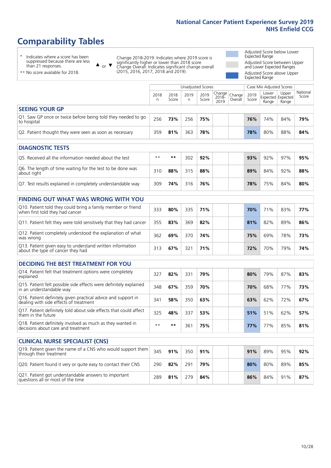# **Comparability Tables**

\* Indicates where a score has been suppressed because there are less than 21 responses.

\*\* No score available for 2018.

 $\triangle$  or  $\nabla$ 

Change 2018-2019: Indicates where 2019 score is significantly higher or lower than 2018 score Change Overall: Indicates significant change overall (2015, 2016, 2017, 2018 and 2019).

Adjusted Score below Lower Expected Range Adjusted Score between Upper and Lower Expected Ranges Adjusted Score above Upper

Expected Range

|                                                                             | Case Mix Adjusted Scores<br>Unadjusted Scores |               |           |               |                                                       |         |               |                            |                            |                   |
|-----------------------------------------------------------------------------|-----------------------------------------------|---------------|-----------|---------------|-------------------------------------------------------|---------|---------------|----------------------------|----------------------------|-------------------|
|                                                                             | 2018<br>n                                     | 2018<br>Score | 2019<br>n | 2019<br>Score | $\sqrt{(\text{Change})^2}$ Change<br>$2018 -$<br>2019 | Overall | 2019<br>Score | Lower<br>Expected<br>Range | Upper<br>Expected<br>Range | National<br>Score |
| <b>SEEING YOUR GP</b>                                                       |                                               |               |           |               |                                                       |         |               |                            |                            |                   |
| Q1. Saw GP once or twice before being told they needed to go<br>to hospital | 256                                           | 73%           | 256       | 75%           |                                                       |         | 76%           | 74%                        | 84%                        | 79%               |
| Q2. Patient thought they were seen as soon as necessary                     | 359                                           | 81%           | 363       | 78%           |                                                       |         | 78%           | 80%                        | 88%                        | 84%               |
| <b>DIAGNOSTIC TESTS</b>                                                     |                                               |               |           |               |                                                       |         |               |                            |                            |                   |

| O5. Received all the information needed about the test                    | $**$ | **  | 302 | 92% |  | 93% | 92% | 97% | 95% |
|---------------------------------------------------------------------------|------|-----|-----|-----|--|-----|-----|-----|-----|
| Q6. The length of time waiting for the test to be done was<br>about right | 310  | 88% |     | 88% |  | 89% | 84% | 92% | 88% |
| Q7. Test results explained in completely understandable way               | 309  | 74% | 316 | 76% |  | 78% | 75% | 84% | 80% |

| <b>FINDING OUT WHAT WAS WRONG WITH YOU</b>                                                      |     |     |     |     |     |     |     |     |
|-------------------------------------------------------------------------------------------------|-----|-----|-----|-----|-----|-----|-----|-----|
| Q10. Patient told they could bring a family member or friend<br>when first told they had cancer | 333 | 80% | 335 | 71% | 70% | 71% | 83% | 77% |
| Q11. Patient felt they were told sensitively that they had cancer                               | 355 | 83% | 369 | 82% | 81% | 82% | 89% | 86% |
| Q12. Patient completely understood the explanation of what<br>was wrong                         | 362 | 69% | 370 | 74% | 75% | 69% | 78% | 73% |
| Q13. Patient given easy to understand written information<br>about the type of cancer they had  | 313 | 67% | 321 | 71% | 72% | 70% | 79% | 74% |

| <b>DECIDING THE BEST TREATMENT FOR YOU</b>                                                              |      |     |     |     |     |     |     |     |
|---------------------------------------------------------------------------------------------------------|------|-----|-----|-----|-----|-----|-----|-----|
| Q14. Patient felt that treatment options were completely<br>explained                                   | 327  | 82% | 331 | 79% | 80% | 79% | 87% | 83% |
| Q15. Patient felt possible side effects were definitely explained<br>in an understandable way           | 348  | 67% | 359 | 70% | 70% | 68% | 77% | 73% |
| Q16. Patient definitely given practical advice and support in<br>dealing with side effects of treatment | 341  | 58% | 350 | 63% | 63% | 62% | 72% | 67% |
| Q17. Patient definitely told about side effects that could affect<br>them in the future                 | 325  | 48% | 337 | 53% | 51% | 51% | 62% | 57% |
| Q18. Patient definitely involved as much as they wanted in<br>decisions about care and treatment        | $**$ | **  | 361 | 75% | 77% | 77% | 85% | 81% |

| <b>CLINICAL NURSE SPECIALIST (CNS)</b>                                                    |     |     |     |     |     |     |     |     |
|-------------------------------------------------------------------------------------------|-----|-----|-----|-----|-----|-----|-----|-----|
| Q19. Patient given the name of a CNS who would support them<br>through their treatment    | 345 | 91% | 350 | 91% | 91% | 89% | 95% | 92% |
| Q20. Patient found it very or quite easy to contact their CNS                             | 290 | 82% | 291 | 79% | 80% | 80% | 89% | 85% |
| Q21. Patient got understandable answers to important<br>questions all or most of the time | 289 | 81% | 279 | 84% | 86% | 84% | 91% | 87% |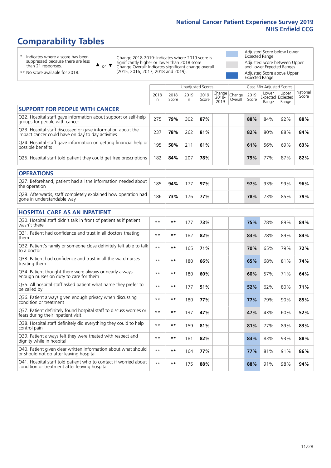# **Comparability Tables**

\* Indicates where a score has been suppressed because there are less than 21 responses.

\*\* No score available for 2018.

 $\triangle$  or  $\nabla$ 

Change 2018-2019: Indicates where 2019 score is significantly higher or lower than 2018 score Change Overall: Indicates significant change overall (2015, 2016, 2017, 2018 and 2019).

Adjusted Score below Lower Expected Range Adjusted Score between Upper and Lower Expected Ranges Adjusted Score above Upper Expected Range

|                                                                                                                   |              |               | Unadjusted Scores |               |                         |                   |               | Case Mix Adjusted Scores            |                |                   |
|-------------------------------------------------------------------------------------------------------------------|--------------|---------------|-------------------|---------------|-------------------------|-------------------|---------------|-------------------------------------|----------------|-------------------|
|                                                                                                                   | 2018<br>n    | 2018<br>Score | 2019<br>n         | 2019<br>Score | Change<br>2018-<br>2019 | Change<br>Overall | 2019<br>Score | Lower<br>Expected Expected<br>Range | Upper<br>Range | National<br>Score |
| <b>SUPPORT FOR PEOPLE WITH CANCER</b>                                                                             |              |               |                   |               |                         |                   |               |                                     |                |                   |
| Q22. Hospital staff gave information about support or self-help<br>groups for people with cancer                  | 275          | 79%           | 302               | 87%           |                         |                   | 88%           | 84%                                 | 92%            | 88%               |
| Q23. Hospital staff discussed or gave information about the<br>impact cancer could have on day to day activities  | 237          | 78%           | 262               | 81%           |                         |                   | 82%           | 80%                                 | 88%            | 84%               |
| Q24. Hospital staff gave information on getting financial help or<br>possible benefits                            | 195          | 50%           | 211               | 61%           |                         |                   | 61%           | 56%                                 | 69%            | 63%               |
| Q25. Hospital staff told patient they could get free prescriptions                                                | 182          | 84%           | 207               | 78%           |                         |                   | 79%           | 77%                                 | 87%            | 82%               |
| <b>OPERATIONS</b>                                                                                                 |              |               |                   |               |                         |                   |               |                                     |                |                   |
| Q27. Beforehand, patient had all the information needed about<br>the operation                                    | 185          | 94%           | 177               | 97%           |                         |                   | 97%           | 93%                                 | 99%            | 96%               |
| Q28. Afterwards, staff completely explained how operation had<br>gone in understandable way                       | 186          | 73%           | 176               | 77%           |                         |                   | 78%           | 73%                                 | 85%            | 79%               |
| <b>HOSPITAL CARE AS AN INPATIENT</b>                                                                              |              |               |                   |               |                         |                   |               |                                     |                |                   |
| Q30. Hospital staff didn't talk in front of patient as if patient<br>wasn't there                                 | $* *$        | $***$         | 177               | 73%           |                         |                   | 75%           | 78%                                 | 89%            | 84%               |
| Q31. Patient had confidence and trust in all doctors treating<br>them                                             | $* *$        | $***$         | 182               | 82%           |                         |                   | 83%           | 78%                                 | 89%            | 84%               |
| Q32. Patient's family or someone close definitely felt able to talk<br>to a doctor                                | $* *$        | $***$         | 165               | 71%           |                         |                   | 70%           | 65%                                 | 79%            | 72%               |
| Q33. Patient had confidence and trust in all the ward nurses<br>treating them                                     | $* *$        | **            | 180               | 66%           |                         |                   | 65%           | 68%                                 | 81%            | 74%               |
| Q34. Patient thought there were always or nearly always<br>enough nurses on duty to care for them                 | $**$         | $***$         | 180               | 60%           |                         |                   | 60%           | 57%                                 | 71%            | 64%               |
| Q35. All hospital staff asked patient what name they prefer to<br>be called by                                    | $**$         | $***$         | 177               | 51%           |                         |                   | 52%           | 62%                                 | 80%            | 71%               |
| Q36. Patient always given enough privacy when discussing<br>condition or treatment                                | $* *$        | $***$         | 180               | 77%           |                         |                   | 77%           | 79%                                 | 90%            | 85%               |
| Q37. Patient definitely found hospital staff to discuss worries or<br>fears during their inpatient visit          | $* *$        | $***$         | 137               | 47%           |                         |                   | 47%           | 43%                                 | 60%            | 52%               |
| Q38. Hospital staff definitely did everything they could to help<br>control pain                                  | $* *$        | $***$         | 159               | 81%           |                         |                   | 81%           | 77%                                 | 89%            | 83%               |
| Q39. Patient always felt they were treated with respect and<br>dignity while in hospital                          | $\star\star$ | $***$         | 181               | 82%           |                         |                   | 83%           | 83%                                 | 93%            | 88%               |
| Q40. Patient given clear written information about what should<br>or should not do after leaving hospital         | $**$         | $***$         | 164               | 77%           |                         |                   | 77%           | 81%                                 | 91%            | 86%               |
| Q41. Hospital staff told patient who to contact if worried about<br>condition or treatment after leaving hospital | $**$         | $***$         | 175               | 88%           |                         |                   | 88%           | 91%                                 | 98%            | 94%               |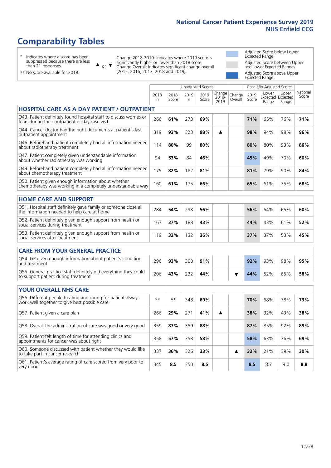# **Comparability Tables**

\* Indicates where a score has been suppressed because there are less than 21 responses.

 $\triangle$  or  $\nabla$ 

Change 2018-2019: Indicates where 2019 score is significantly higher or lower than 2018 score Change Overall: Indicates significant change overall (2015, 2016, 2017, 2018 and 2019).

 $\mathbb{R}$ 

Adjusted Score below Lower Expected Range Adjusted Score between Upper and Lower Expected Ranges Adjusted Score above Upper Expected Range

\*\* No score available for 2018.

|                                                                                                                       |              |               |           | Unadjusted Scores |                         |                   |               | Case Mix Adjusted Scores |                                     |                   |
|-----------------------------------------------------------------------------------------------------------------------|--------------|---------------|-----------|-------------------|-------------------------|-------------------|---------------|--------------------------|-------------------------------------|-------------------|
|                                                                                                                       | 2018<br>n    | 2018<br>Score | 2019<br>n | 2019<br>Score     | Change<br>2018-<br>2019 | Change<br>Overall | 2019<br>Score | Lower<br>Range           | Upper<br>Expected Expected<br>Range | National<br>Score |
| <b>HOSPITAL CARE AS A DAY PATIENT / OUTPATIENT</b>                                                                    |              |               |           |                   |                         |                   |               |                          |                                     |                   |
| Q43. Patient definitely found hospital staff to discuss worries or<br>fears during their outpatient or day case visit | 266          | 61%           | 273       | 69%               |                         |                   | 71%           | 65%                      | 76%                                 | 71%               |
| Q44. Cancer doctor had the right documents at patient's last<br>outpatient appointment                                | 319          | 93%           | 323       | 98%               | ▲                       |                   | 98%           | 94%                      | 98%                                 | 96%               |
| Q46. Beforehand patient completely had all information needed<br>about radiotherapy treatment                         | 114          | 80%           | 99        | 80%               |                         |                   | 80%           | 80%                      | 93%                                 | 86%               |
| Q47. Patient completely given understandable information<br>about whether radiotherapy was working                    | 94           | 53%           | 84        | 46%               |                         |                   | 45%           | 49%                      | 70%                                 | 60%               |
| Q49. Beforehand patient completely had all information needed<br>about chemotherapy treatment                         | 175          | 82%           | 182       | 81%               |                         |                   | 81%           | 79%                      | 90%                                 | 84%               |
| Q50. Patient given enough information about whether<br>chemotherapy was working in a completely understandable way    | 160          | 61%           | 175       | 66%               |                         |                   | 65%           | 61%                      | 75%                                 | 68%               |
|                                                                                                                       |              |               |           |                   |                         |                   |               |                          |                                     |                   |
| <b>HOME CARE AND SUPPORT</b>                                                                                          |              |               |           |                   |                         |                   |               |                          |                                     |                   |
| Q51. Hospital staff definitely gave family or someone close all<br>the information needed to help care at home        | 284          | 54%           | 298       | 56%               |                         |                   | 56%           | 54%                      | 65%                                 | 60%               |
| Q52. Patient definitely given enough support from health or<br>social services during treatment                       | 167          | 37%           | 188       | 43%               |                         |                   | 44%           | 43%                      | 61%                                 | 52%               |
| Q53. Patient definitely given enough support from health or<br>social services after treatment                        | 119          | 32%           | 132       | 36%               |                         |                   | 37%           | 37%                      | 53%                                 | 45%               |
| <b>CARE FROM YOUR GENERAL PRACTICE</b>                                                                                |              |               |           |                   |                         |                   |               |                          |                                     |                   |
| Q54. GP given enough information about patient's condition<br>and treatment                                           | 296          | 93%           | 300       | 91%               |                         |                   | 92%           | 93%                      | 98%                                 | 95%               |
| Q55. General practice staff definitely did everything they could<br>to support patient during treatment               | 206          | 43%           | 232       | 44%               |                         | ▼                 | 44%           | 52%                      | 65%                                 | 58%               |
|                                                                                                                       |              |               |           |                   |                         |                   |               |                          |                                     |                   |
| <b>YOUR OVERALL NHS CARE</b>                                                                                          |              |               |           |                   |                         |                   |               |                          |                                     |                   |
| Q56. Different people treating and caring for patient always<br>work well together to give best possible care         | $\star\star$ | $***$         | 348       | 69%               |                         |                   | 70%           | 68%                      | 78%                                 | 73%               |
| Q57. Patient given a care plan                                                                                        | 266          | 29%           | 271       | 41%               | ▲                       |                   | 38%           | 32%                      | 43%                                 | 38%               |
| Q58. Overall the administration of care was good or very good                                                         | 359          | 87%           | 359       | 88%               |                         |                   | 87%           | 85%                      | 92%                                 | 89%               |
| Q59. Patient felt length of time for attending clinics and<br>appointments for cancer was about right                 | 358          | 57%           | 358       | 58%               |                         |                   | 58%           | 63%                      | 76%                                 | 69%               |
| Q60. Someone discussed with patient whether they would like<br>to take part in cancer research                        | 337          | 36%           | 326       | 33%               |                         | ▲                 | 32%           | 21%                      | 39%                                 | 30%               |
| Q61. Patient's average rating of care scored from very poor to<br>very good                                           | 345          | 8.5           | 350       | 8.5               |                         |                   | 8.5           | 8.7                      | 9.0                                 | 8.8               |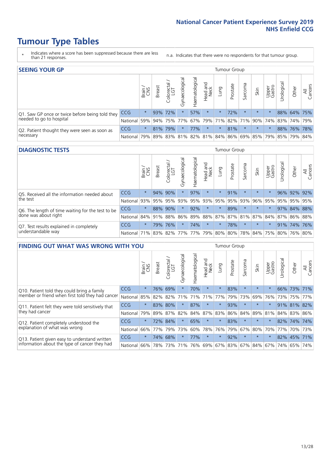- \* Indicates where a score has been suppressed because there are less than 21 responses.
- n.a. Indicates that there were no respondents for that tumour group.

| <b>SEEING YOUR GP</b>                           |              |         |               |                        |                                                          |                |                  |         | Tumour Group |         |         |                 |            |                                                     |                |
|-------------------------------------------------|--------------|---------|---------------|------------------------|----------------------------------------------------------|----------------|------------------|---------|--------------|---------|---------|-----------------|------------|-----------------------------------------------------|----------------|
|                                                 |              | Brain   | <b>Breast</b> | olorectal.<br>LGT<br>Ü | $\overline{\sigma}$<br>naecologic<br>$\overline{\delta}$ | Haematological | Head and<br>Neck | Lung    | Prostate     | Sarcoma | Skin    | Upper<br>Gastro | Jrological | Other                                               | All<br>Cancers |
| Q1. Saw GP once or twice before being told they | CCG          | $\star$ |               | 93% 72%                |                                                          | 57%            | $\star$          | $\star$ | 72%          |         | $\star$ | $\star$         |            | 88% 64% 75%                                         |                |
| needed to go to hospital                        | National 59% |         |               |                        |                                                          |                |                  |         |              |         |         |                 |            | 94% 75% 77% 67% 79% 71% 82% 71% 90% 74% 83% 74% 79% |                |
| Q2. Patient thought they were seen as soon as   | <b>CCG</b>   | $\star$ |               | 81% 79%                |                                                          | 77%            | $\star$          | $\star$ | 81%          |         | $\star$ | $\star$         |            | 88% 76% 78%                                         |                |
| necessary                                       | National     | 79%     |               |                        |                                                          |                |                  |         |              |         |         |                 |            | 89% 83% 81% 82% 81% 84% 86% 69% 85% 79% 85% 79%     | 84%            |

#### **DIAGNOSTIC TESTS** Tumour Group

|                                                   |                                                          | Brain   | <b>Breast</b> | Colorectal<br>LGT | ᠊ᢛ<br>Gynaecologic | ক<br>aematologic | Head and<br>Neck | Lung    | Prostate | Sarcoma | Skin    | Upper<br>Gastro                                     | rological | Other       | All<br>Cancers |
|---------------------------------------------------|----------------------------------------------------------|---------|---------------|-------------------|--------------------|------------------|------------------|---------|----------|---------|---------|-----------------------------------------------------|-----------|-------------|----------------|
| Q5. Received all the information needed about     | <b>CCG</b>                                               | $\star$ |               | 94% 90%           |                    | 97%              | $\star$          |         | 91%      | $\star$ | $\star$ | $\star$                                             |           | 96% 92%     | 92%            |
| the test                                          | National                                                 | 93%     |               | 95% 95%           | 93%                | 95%              | 93% 95% 95% 93%  |         |          |         | 96%     | 95%                                                 | 95%       | 95%         | 95%            |
| Q6. The length of time waiting for the test to be | CCG                                                      | $\star$ | 88%           | 90%               |                    | 92%              | $\star$          | $\star$ | 89%      | $\star$ | $\star$ | $\star$                                             |           | 97% 84% 88% |                |
| done was about right                              | National 84% 91% 88% 86%                                 |         |               |                   |                    |                  |                  |         |          |         |         | 89%   88%   87%   87%   81%   87%   84%   87%   86% |           |             | 88%            |
| Q7. Test results explained in completely          | CCG                                                      | $\star$ | 79%           | 76%               |                    | 74%              | $\star$          | $\star$ | 78%      | $\star$ | $\star$ | $\star$                                             |           | 91% 74% 76% |                |
| understandable way                                | National 71% 83% 82% 77% 77% 79% 80% 80% 78% 84% 75% 80% |         |               |                   |                    |                  |                  |         |          |         |         |                                                     |           |             | 76% 80%        |

| <b>FINDING OUT WHAT WAS WRONG WITH YOU</b>        |          |         |               |                             |                |                    |                        |         | <b>Tumour Group</b> |         |         |                 |            |             |                |
|---------------------------------------------------|----------|---------|---------------|-----------------------------|----------------|--------------------|------------------------|---------|---------------------|---------|---------|-----------------|------------|-------------|----------------|
|                                                   |          | Brain   | <b>Breast</b> | olorectal.<br>LGT<br>$\cup$ | Gynaecological | aematological<br>Ĩ | ad and<br>Neck<br>Head | Lung    | Prostate            | Sarcoma | Skin    | Upper<br>Gastro | Irological | Other       | All<br>Cancers |
| Q10. Patient told they could bring a family       | CCG      | $\star$ | 76%           | 69%                         | $\star$        | 70%                | $\star$                | $\star$ | 83%                 | $\star$ | $\star$ | $\star$         |            | 66% 73%     | 171%           |
| member or friend when first told they had cancer  | National | 85%     | 82%           | 82%                         | 71%            | 71%                | 71%                    | 77%     | 79%                 | 73%     | 69%     | 76%             | 73%        | 75%         | 77%            |
| Q11. Patient felt they were told sensitively that | CCG      | $\star$ | 83% 80%       |                             |                | 87%                | $^\star$               | $\star$ | 93%                 | $\star$ | $\star$ | $\star$         |            | 91% 81% 82% |                |
| they had cancer                                   | National | 79%     |               | 89% 87% 82%                 |                |                    | 84% 87%                | 83%     | 86%                 | 84%     |         | 89% 81%         |            | 84% 83%     | 86%            |
| Q12. Patient completely understood the            | CCG      | $\star$ | 72%           | 84%                         |                | 65%                | $\star$                | $\star$ | 83%                 | $\star$ | $\star$ |                 | 82%        | 74%         | 74%            |
| explanation of what was wrong                     | National | 66%     | 77%           | 79%                         | 73%            | 60%                | 78%                    | 76%     | 79%                 | 67%     | 80%     | 70%             | 77%        |             | 70% 73%        |
| Q13. Patient given easy to understand written     | CCG      | $\star$ | 74%           | 68%                         |                | 77%                | $\star$                | $\star$ | 92%                 | $\ast$  | $\star$ | $\star$         |            | 82% 45%     | 71%            |
| information about the type of cancer they had     | National | 66%     | 78%           | 73%                         | 71%            | 76%                | 69%                    | 67%     | 83%                 |         | 67% 84% | 67%             | 74%        | 65%         | 74%            |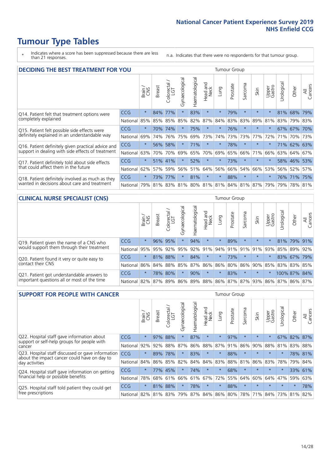- \* Indicates where a score has been suppressed because there are less than 21 responses.
- n.a. Indicates that there were no respondents for that tumour group.

| <b>DECIDING THE BEST TREATMENT FOR YOU</b>           |            |         |        |                        |                |                |                        |         | <b>Tumour Group</b> |          |                                     |                 |            |             |                |
|------------------------------------------------------|------------|---------|--------|------------------------|----------------|----------------|------------------------|---------|---------------------|----------|-------------------------------------|-----------------|------------|-------------|----------------|
|                                                      |            | Brain   | Breast | blorectal.<br>LGT<br>Ũ | Gynaecological | Haematological | ad and<br>Neck<br>Head | Lung    | Prostate            | Sarcoma  | Skin                                | Upper<br>Gastro | Jrological | Other       | All<br>Cancers |
| CCG<br>Q14. Patient felt that treatment options were |            | $\star$ | 84%    | 77%                    | $\star$        | 83%            | $\star$                | $\star$ | 79%                 | $\star$  |                                     | $\star$         | 81%        | 68%         | 79%            |
| completely explained                                 | National   | 85%     | 85%    | 85%                    | 85%            | 82%            | 87%                    | 84%     | 83%                 | 83%      | 89%                                 | 81%             |            | 83% 79% 83% |                |
| Q15. Patient felt possible side effects were         | CCG        | $\star$ | 70%    | 74%                    | $\star$        | 75%            | $\star$                | $\star$ | 76%                 | $\star$  |                                     | $\star$         |            | 67% 67%     | 70%            |
| definitely explained in an understandable way        | National   | 69%     | 74%    | 76%                    | 75%            | 69%            | 73%                    | 74%     | 73%                 | 73%      | 77%                                 | 72%             | 71%        | 70%         | 73%            |
| Q16. Patient definitely given practical advice and   | <b>CCG</b> | $\star$ | 56%    | 58%                    |                | 71%            | $\star$                | $\star$ | 78%                 | $\star$  | $\star$                             | $\star$         |            | 71% 62% 63% |                |
| support in dealing with side effects of treatment    | National   | 63%     | 70%    | 70%                    | 69%            | 65%            | 70%                    | 69%     | 65%                 | 66%      | 71%                                 | 66%             |            | 63% 64%     | 67%            |
| Q17. Patient definitely told about side effects      | CCG        | $\star$ | 51%    | 41%                    | $\star$        | 52%            | $\star$                | $\star$ | 73%                 | $\star$  |                                     | $\star$         |            | 58% 46%     | 53%            |
| that could affect them in the future                 | National   | 62%     | 57%    | 59%                    | 56%            | 51%            | 64%                    | 56%     | 66%                 | 54%      | 66%                                 | 53%             |            | 56% 52%     | 57%            |
| Q18. Patient definitely involved as much as they     | <b>CCG</b> | $\star$ | 73%    | 77%                    | $\star$        | 81%            | $\star$                | $\star$ | 88%                 | $^\star$ | $\star$                             | $\star$         |            | 76% 71%     | 75%            |
| wanted in decisions about care and treatment         | National   | 79%     |        |                        |                |                |                        |         |                     |          | 81% 83% 81% 80% 81% 81% 84% 81% 87% | 79%             | 79%        | 78% 81%     |                |

#### **CLINICAL NURSE SPECIALIST (CNS)** Tumour Group

|                                             |                      | Brain   | <b>Breast</b> | ╮<br>Colorectal<br>LGT | ক<br>Gynaecologic | ক<br>Haematologic | Head and<br>Neck | Lung     | Prostate | Sarcoma     | Skin    | Upper<br>Gastro | Irological                      | Other        | All<br>Cancers |
|---------------------------------------------|----------------------|---------|---------------|------------------------|-------------------|-------------------|------------------|----------|----------|-------------|---------|-----------------|---------------------------------|--------------|----------------|
| Q19. Patient given the name of a CNS who    | <b>CCG</b>           | $\star$ |               | 96% 95%                |                   | 94%               | $\star$          |          | 89%      | $\star$     | $\star$ |                 |                                 | 81% 79% 91%  |                |
| would support them through their treatment  | National             | 95%     | 95%           | 92%                    | 95%               | 92%               | 91%              |          |          | 94% 91% 91% | 91%     | 93%             | 85%                             | 89%          | 92%            |
| Q20. Patient found it very or quite easy to | CCG                  | $\star$ | 81%           | 88%                    |                   | 84%               | $\star$          | $\star$  | 73%      |             | $\star$ | $\star$         | 83%                             | 67% 79%      |                |
| contact their CNS                           | National             |         |               |                        | 86% 84% 88% 85%   | 87%               | 86% 86% 80%      |          |          |             |         | 86% 90% 85%     |                                 |              | 83% 83% 85%    |
| Q21. Patient got understandable answers to  | CCG                  | $\star$ |               | 78% 80%                |                   | 90%               | $\star$          | $^\star$ | 83%      | $\star$     | $\star$ | $\star$         |                                 | 100% 87% 84% |                |
| important questions all or most of the time | National   82%   87% |         |               | $89\%$                 | 86%               |                   |                  |          |          |             |         |                 | 89% 88% 86% 87% 87% 93% 86% 87% |              | 86% 87%        |

| <b>SUPPORT FOR PEOPLE WITH CANCER</b>                                                             |            |         |               |            |                |                |                         |         | Tumour Group |                  |         |                 |           |        |                |
|---------------------------------------------------------------------------------------------------|------------|---------|---------------|------------|----------------|----------------|-------------------------|---------|--------------|------------------|---------|-----------------|-----------|--------|----------------|
|                                                                                                   |            | Brain   | <b>Breast</b> | Colorectal | Gynaecological | Haematological | ead and<br>Neck<br>Head | Lung    | Prostate     | arcoma<br>$\sim$ | Skin    | Upper<br>Gastro | Jrologica | Other  | All<br>Cancers |
| Q22. Hospital staff gave information about<br>support or self-help groups for people with         | <b>CCG</b> | $\star$ | 97%           | 88%        | $\star$        | 87%            | $\star$                 | $\star$ | 97%          | $\star$          | $\star$ | $\star$         | 67%       | 82%    | 87%            |
| cancer                                                                                            | National   | 92%     | 92%           | 88%        | 87%            | 86%            | 88%                     | 87%     | 91%          | 86%              | 90%     | 88%             | 81%       | 83%    | 88%            |
| Q23. Hospital staff discussed or gave information<br>about the impact cancer could have on day to | CCG.       | $\star$ | 89%           | 78%        | $\star$        | 83%            | $\star$                 | $\star$ | 88%          | $\star$          | $\star$ | $\star$         | $\star$   |        | 78% 81%        |
| day activities                                                                                    | National   | 84%     | 86%           | 85%        | 82%            | 84%            | 84%                     | 83%     | 88%          | 81%              | 86%     | 83%             | 78%       | 79%    | 84%            |
| Q24. Hospital staff gave information on getting                                                   | <b>CCG</b> | $\star$ |               | 77% 45%    | $\star$        | 74%            | $\star$                 | $\star$ | 68%          | $\star$          | $\star$ | $\star$         | $\star$   | 33%    | 61%            |
| financial help or possible benefits                                                               | National   | 78%     |               | 68% 61%    | 66%            | 61%            | 67%                     | 72%     | 55%          | 64%              | 60%     | 64%             | 47%       | 59%    | 63%            |
| Q25. Hospital staff told patient they could get                                                   | <b>CCG</b> | $\star$ | 81%           | 88%        | $\star$        | 78%            | $\star$                 | $\star$ | 88%          | $\star$          | $\star$ | $\star$         | $\star$   | $\ast$ | 78%            |
| free prescriptions                                                                                | National   | 82%     | 81%           | 83%        | 79%            | 87%            | 84%                     | 86%     | 80%          | 78%              | 71%     | 84%             | 73%       | 81%    | 82%            |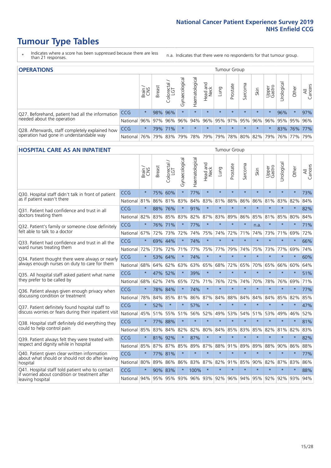- \* Indicates where a score has been suppressed because there are less than 21 responses.
- n.a. Indicates that there were no respondents for that tumour group.

| <b>OPERATIONS</b>                                |              |         |               |                   |                |                     |                  |         | Tumour Group                |         |         |                 |            |                                                         |                |
|--------------------------------------------------|--------------|---------|---------------|-------------------|----------------|---------------------|------------------|---------|-----------------------------|---------|---------|-----------------|------------|---------------------------------------------------------|----------------|
|                                                  |              | Brain   | <b>Breast</b> | Colorectal<br>LGT | Gynaecological | Haematological      | Head and<br>Neck | Dung    | Prostate                    | Sarcoma | Skin    | Upper<br>Gastro | Urological | Other                                                   | All<br>Cancers |
| Q27. Beforehand, patient had all the information | CCG          | $\star$ |               | 98% 96%           | $\star$        | $\star$             | $\star$          | $\star$ | $\star$                     | $\star$ | $\star$ | $\star$         | 96%        | $\star$                                                 | 97%            |
| needed about the operation                       | National I   | $96\%$  |               |                   |                |                     |                  |         |                             |         |         |                 |            | 97% 96% 96% 94% 96% 95% 97% 95% 96% 96% 95% 95% 95% 96% |                |
| Q28. Afterwards, staff completely explained how  | <b>CCG</b>   | $\star$ |               | 79% 71%           | $\star$        |                     | $\star$          | $\star$ | $\star$                     | $\star$ | $\star$ | $\star$         |            | 83% 76% 77%                                             |                |
| operation had gone in understandable way         | National 76% |         |               |                   |                | 79% 83% 79% 78% 79% |                  |         | 79%   78%   80%   82%   79% |         |         |                 |            | 76% 77%                                                 | 79%            |

#### **HOSPITAL CARE AS AN INPATIENT** Tumour Group

|                                                                                                   |              | Brain   | Breast  | $\overline{\phantom{0}}$<br>Colorectal /<br>LGT | Gynaecological | Haematological | Head and<br>Neck | Lung    | Prostate | Sarcoma | Skin    | Upper<br>Gastro | Urological                                  | Other   | All<br>Cancers |
|---------------------------------------------------------------------------------------------------|--------------|---------|---------|-------------------------------------------------|----------------|----------------|------------------|---------|----------|---------|---------|-----------------|---------------------------------------------|---------|----------------|
| Q30. Hospital staff didn't talk in front of patient                                               | CCG          | $\star$ | 75%     | 60%                                             | $\star$        | 77%            | $\star$          | $\star$ | $\star$  | $\star$ | $\star$ | $\star$         | $\star$                                     | $\star$ | 73%            |
| as if patient wasn't there                                                                        | National     | 81%     | 86%     | 81%                                             | 83%            | 84%            | 83%              | 81%     | 88%      | 86%     | 86%     | 81%             | 83%                                         | 82%     | 84%            |
| O31. Patient had confidence and trust in all<br>doctors treating them                             | CCG          | $\star$ | 88% 76% |                                                 |                | 91%            | $\star$          | $\star$ | $\star$  | $\star$ | $\star$ | ÷               | $\star$                                     | $\star$ | 82%            |
|                                                                                                   | National     | 82%     |         | 83% 85%                                         | 83%            | 82%            |                  | 87% 83% | 89%      | 86%     | 85%     | 81% 85%         |                                             | 80%     | 84%            |
| Q32. Patient's family or someone close definitely                                                 | CCG          | $\star$ | 76%     | 71%                                             |                | 77%            | $\star$          | $\star$ | $\star$  | $\star$ | n.a.    |                 | $\star$                                     | $\star$ | 71%            |
| felt able to talk to a doctor                                                                     | National     | 67%     | 72%     | 73%                                             | 72%            | 74%            | 75%              | 74%     | 72%      | 71%     | 74%     | 73%             | 71%                                         | 69%     | 72%            |
| O33. Patient had confidence and trust in all the<br>ward nurses treating them                     | CCG          | $\star$ |         | 69% 44%                                         | $\star$        | 74%            | $\star$          | $\star$ | $\star$  | $\star$ | $\star$ | $\star$         | $\star$                                     | $\star$ | 66%            |
|                                                                                                   | National 72% |         | 73%     | 72%                                             | 71%            | 77%            |                  | 75% 77% | 79%      | 74%     | 75%     | 73%             | 77%                                         | 69%     | 74%            |
| Q34. Patient thought there were always or nearly<br>always enough nurses on duty to care for them | CCG          | $\star$ | 53% 64% |                                                 | $\star$        | 74%            | $\star$          | $\star$ | $\star$  | $\star$ | $\star$ |                 | $\star$                                     | $\star$ | 60%            |
|                                                                                                   | National     | 68%     | 64%     | 62%                                             | 63%            | 63%            |                  | 65% 68% | 72%      | 65%     | 70%     | 65%             | 66%                                         | 60%     | 64%            |
| Q35. All hospital staff asked patient what name                                                   | CCG          | $\star$ | 47% 52% |                                                 | $\star$        | 39%            | $\star$          | $\star$ | $\star$  | $\star$ | $\star$ | $\star$         | $\star$                                     | $\star$ | 51%            |
| they prefer to be called by                                                                       | National     | 68%     | 62%     | 74%                                             | 65%            | 72%            |                  | 71% 76% | 72%      | 74%     | 70%     | 78%             | 76%                                         | 69%     | 71%            |
| Q36. Patient always given enough privacy when                                                     | CCG          | $\star$ | 78%     | 84%                                             |                | 74%            | $\star$          | $\star$ | $\star$  | $\star$ | $\star$ | $\star$         | $\star$                                     | $\star$ | 77%            |
| discussing condition or treatment                                                                 | National     | 78%     |         | 84% 85%                                         | 81%            | 86%            |                  | 87% 84% | 88%      | 84%     | 84%     | 84%             | 85%                                         | 82%     | 85%            |
| Q37. Patient definitely found hospital staff to                                                   | CCG          | $\star$ | 52%     | $\star$                                         | $\star$        | 57%            | $\star$          | $\star$ | $\star$  | $\star$ | $\star$ | $\star$         | $\star$                                     | $\star$ | 47%            |
| discuss worries or fears during their inpatient visit                                             | National 45% |         | 51%     | 55%                                             | 51%            | 56%            |                  | 52% 49% | 53%      | 54%     | 51%     | 53%             | 49%                                         | 46%     | 52%            |
| Q38. Hospital staff definitely did everything they                                                | CCG          | $\star$ | 77% 88% |                                                 | $\star$        | $\star$        | $\star$          | $\star$ | $\star$  | $\star$ | $\star$ | $\star$         | $\star$                                     | $\star$ | 81%            |
| could to help control pain                                                                        | National     | 85%     | 83%     | 84%                                             | 82%            | 82%            | 80%              | 84%     | 85%      | 83%     | 85%     | 82%             | 81%                                         | 82%     | 83%            |
| Q39. Patient always felt they were treated with                                                   | CCG          | $\star$ | 81% 92% |                                                 | $\star$        | 87%            | $\star$          | $\star$ | $\star$  | $\star$ | $\star$ | $\star$         | $\star$                                     | $\star$ | 82%            |
| respect and dignity while in hospital                                                             | National     | 85%     | 87%     | 87%                                             | 85%            | 89%            | 87%              | 88%     | 91%      | 89%     | 89%     | 88%             | 90%                                         | 86%     | 88%            |
| Q40. Patient given clear written information<br>about what should or should not do after leaving  | CCG          | $\star$ | 77% 81% |                                                 |                | $\star$        | $\star$          | $\star$ | $\star$  | $\star$ | $\star$ | $\star$         | $\star$                                     | $\star$ | 77%            |
| hospital                                                                                          | National 80% |         | 89%     | 86%                                             | 86%            | 83%            |                  | 87% 82% | 91%      | 85%     | 90%     | 82%             | 87%                                         | 83%     | 86%            |
| Q41. Hospital staff told patient who to contact<br>if worried about condition or treatment after  | CCG          | $\star$ | 90% 83% |                                                 | $\star$        | 100%           | $\star$          | $\star$ | $\star$  | $\star$ | $\star$ | $\star$         | $\star$                                     | $\star$ | 88%            |
| leaving hospital                                                                                  | National 94% |         |         |                                                 |                |                |                  |         |          |         |         |                 | 95% 95% 93% 96% 93% 92% 96% 94% 95% 92% 92% | 93% 94% |                |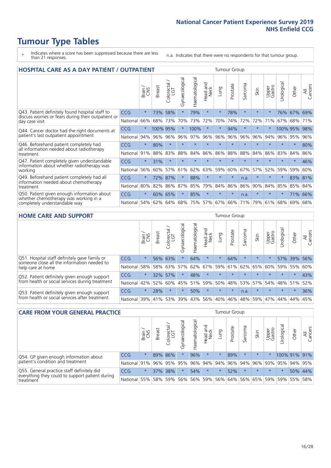- \* Indicates where a score has been suppressed because there are less than 21 responses.
- n.a. Indicates that there were no respondents for that tumour group.

| <b>HOSPITAL CARE AS A DAY PATIENT / OUTPATIENT</b>                                                                    |            |         |               |                 |                |                |                         |         |          | <b>Tumour Group</b> |         |                 |            |         |                |  |  |  |
|-----------------------------------------------------------------------------------------------------------------------|------------|---------|---------------|-----------------|----------------|----------------|-------------------------|---------|----------|---------------------|---------|-----------------|------------|---------|----------------|--|--|--|
|                                                                                                                       |            | Brain   | <b>Breast</b> | ╮<br>Colorectal | Gynaecological | Haematological | ead and<br>Neck<br>Head | Lung    | Prostate | Sarcoma             | Skin    | Upper<br>Gastro | Urological | Other   | All<br>Cancers |  |  |  |
| Q43. Patient definitely found hospital staff to                                                                       | CCG        | $\star$ | 73%           | 58%             | $\star$        | 79%            | $\star$                 | $\star$ | 78%      | $\star$             | $\star$ | $\star$         | 76%        | 67%     | 69%            |  |  |  |
| discuss worries or fears during their outpatient or<br>day case visit                                                 | National   | 66%     | 68%           | 73%             | 70%            | 73%            | 72%                     | 70%     | 74%      | 72%                 | 72%     | 71%             | 67%        | 68%     | 71%            |  |  |  |
| Q44. Cancer doctor had the right documents at<br>patient's last outpatient appointment                                | CCG        | $\star$ | 100% 95%      |                 |                | 100%           | $\star$                 | $\star$ | 94%      | $\star$             |         |                 | 100% 95%   |         | 98%            |  |  |  |
|                                                                                                                       | National   | 94%     | 96%           | 96%             | 96%            | 97%            | 96%                     | 96%     | 96%      | 96%                 | 96%     | 94%             | 96%        | 95%     | 96%            |  |  |  |
| Q46. Beforehand patient completely had                                                                                | <b>CCG</b> | $\star$ | 80%           | $\star$         | $\star$        | $\star$        | $\star$                 | $\star$ | $\star$  | $\star$             | $\star$ | $\star$         | $\star$    | $\ast$  | 80%            |  |  |  |
| all information needed about radiotherapy<br>treatment                                                                | National   | 91%     | 88%           | 83%             | 88%            | 84%            | 86%                     | 86%     | 88%      | 88%                 | 84%     | 86%             | 83%        | 84%     | 86%            |  |  |  |
| Q47. Patient completely given understandable                                                                          | CCG        | $\star$ | 31%           | $\star$         |                |                | $\star$                 | $\star$ | $\star$  | $\star$             |         |                 | $\star$    | $\ast$  | 46%            |  |  |  |
| information about whether radiotherapy was<br>working                                                                 | National   | 56%     | 60%           | 57%             | 61%            | 62%            | 63%                     | 59%     | 60%      | 67%                 | 57%     | 52%             | 59%        | 59%     | 60%            |  |  |  |
| Q49. Beforehand patient completely had all                                                                            | <b>CCG</b> | $\star$ | 72%           | 87%             | $\star$        | 88%            | $\star$                 | $\star$ | $\star$  | n.a.                |         | $\star$         | $\star$    | 83% 81% |                |  |  |  |
| information needed about chemotherapy<br>treatment                                                                    | National   | 80%     | 82%           | 86%             | 87%            | 85%            | 79%                     | 84%     | 86%      | 86%                 | 90%     | 84%             | 85%        | 85%     | 84%            |  |  |  |
| Q50. Patient given enough information about<br>whether chemotherapy was working in a<br>completely understandable way | <b>CCG</b> | $\star$ | 60%           | 65%             | $\star$        | 85%            | $\star$                 | $\star$ | $\star$  | n.a.                | $\star$ | $\star$         | $\star$    | 71%     | 66%            |  |  |  |
|                                                                                                                       | National   | 54%     | 62%           | 64%             | 68%            | 75%            |                         | 57% 67% | 66%      | 71%                 | 79%     | 61%             | 68%        | 69%     | 68%            |  |  |  |

#### **HOME CARE AND SUPPORT** Tumour Group

|                                                                                                                   |            | Brain   | <b>Breast</b> | Colorectal<br>LGT | ᢛ<br>Gynaecologic | Haematological | ad and<br>Neck<br>Head | <b>Dung</b> | Prostate | Sarcoma | Skin    | Upper<br>Gastro | Urological | Other   | All<br>Cancers |
|-------------------------------------------------------------------------------------------------------------------|------------|---------|---------------|-------------------|-------------------|----------------|------------------------|-------------|----------|---------|---------|-----------------|------------|---------|----------------|
| Q51. Hospital staff definitely gave family or<br>someone close all the information needed to<br>help care at home | <b>CCG</b> | $\star$ |               | 56% 63%           | $\star$           | 64%            | $\ast$                 | $\star$     | 64%      | $\star$ | $\star$ | $\star$         |            | 57% 39% | 56%            |
|                                                                                                                   | National   | 58%     | 58%           | 63%               | 57%               | 62%            | 67%                    | 59%         | 61%      |         | 62% 65% | 60%             | 59%        | 55%     | 60%            |
| Q52. Patient definitely given enough support<br>from health or social services during treatment                   | <b>CCG</b> | $\star$ |               | 32% 57%           | $\star$           | 48%            | $\star$                | $\star$     | $\star$  |         | $\star$ | $\star$         | $\star$    | $\star$ | 43%            |
|                                                                                                                   | National   | 42%     | 52%           | 60%               |                   | 45% 51%        | 59%                    | 50%         | 48%      |         | 53% 57% | 54%             | 48% 51%    |         | 52%            |
| Q53. Patient definitely given enough support<br>from health or social services after treatment                    | <b>CCG</b> | $\star$ | 28%           |                   | $\star$           | 50%            | $\star$                | $\star$     | $\star$  | n.a.    | $\star$ | $\star$         | $\star$    | $\star$ | 36%            |
|                                                                                                                   | National   | 39%     |               | 41% 53%           | 39%               | 43%            | 56%                    | 40%         | 46%      | 48% 59% |         | 47%             | 44%        | 44%     | 45%            |

| <b>CARE FROM YOUR GENERAL PRACTICE</b>                                                                     |              |         |               |                   |                |                | Tumour Group                |         |          |         |         |                 |                         |       |                |
|------------------------------------------------------------------------------------------------------------|--------------|---------|---------------|-------------------|----------------|----------------|-----------------------------|---------|----------|---------|---------|-----------------|-------------------------|-------|----------------|
|                                                                                                            |              | Brain,  | <b>Breast</b> | Colorectal<br>LGT | Gynaecological | Haematological | Head and<br>Neck            | Lung    | Prostate | Sarcoma | Skin    | Upper<br>Gastro | $\sigma$<br>Urologica   | Other | All<br>Cancers |
| Q54. GP given enough information about<br>patient's condition and treatment                                | <b>CCG</b>   | $\star$ |               | 89% 86%           | $\star$        | 96%            | $\star$                     | $\star$ | 89%      | $\star$ | $\star$ | $\star$         | 100% 91% 91%            |       |                |
|                                                                                                            | National 91% |         |               |                   | 96% 95% 95%    |                | 96% 94% 94% 96%             |         |          |         |         |                 | 94% 96% 93% 95% 94% 95% |       |                |
| Q55. General practice staff definitely did<br>everything they could to support patient during<br>treatment | <b>CCG</b>   | $\star$ |               | 37% 38%           | $\star$        | 54%            | $\star$                     | $\star$ | 52%      | $\star$ | $\star$ | $\star$         | $\star$                 |       | 50% 44%        |
|                                                                                                            | National 55% |         |               | 58% 59%           | 56%            |                | 56% 59% 56% 64% 56% 65% 59% |         |          |         |         |                 | 59% 55%                 |       | 58%            |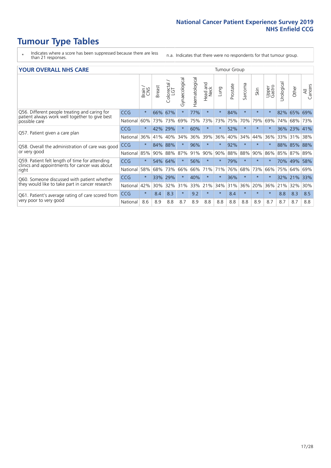- \* Indicates where a score has been suppressed because there are less than 21 responses.
- n.a. Indicates that there were no respondents for that tumour group.

#### **YOUR OVERALL NHS CARE** THE TWO CONTROLLER THE THE THROUP CHANGE THE TUMOUR GROUP

|            | Brain   | <b>Breast</b> | Colorectal | Gynaecological               | Haematological | aad and<br>Neck<br>Head | Lung     | Prostate | Sarcoma    | Skin    | Upper<br>Gastro | Urological | Other | All<br>Cancers                             |
|------------|---------|---------------|------------|------------------------------|----------------|-------------------------|----------|----------|------------|---------|-----------------|------------|-------|--------------------------------------------|
| <b>CCG</b> | $\star$ | 66%           | 67%        | $\star$                      | 77%            | $\star$                 | $\star$  | 84%      | $\star$    | $\star$ | $\star$         | 82%        | 65%   | 69%                                        |
| National   | 60%     |               |            | 69%                          | 75%            | 73%                     | 73%      | 75%      | 70%        | 79%     | 69%             | 74%        |       | 73%                                        |
| <b>CCG</b> | $\star$ | 42%           | 29%        |                              | 60%            | $\star$                 | $\star$  | 52%      | $\star$    | $\star$ |                 | 36%        |       |                                            |
| National   | 36%     | 41%           | 40%        | 34%                          | 36%            | 39%                     | 36%      | 40%      | 34%        | 44%     | 36%             | 33%        | 31%   | 38%                                        |
| <b>CCG</b> | $\star$ | 84%           | 88%        |                              | 96%            | $\star$                 | $\star$  | 92%      | $\star$    | $\star$ |                 | 88%        |       | 88%                                        |
| National   | 85%     | 90%           |            | 87%                          | 91%            | 90%                     | 90%      |          | 88%        | 90%     | 86%             | 85%        |       | 89%                                        |
| <b>CCG</b> | $\star$ |               |            | $\star$                      | 56%            | $\star$                 | $\star$  | 79%      | $\star$    | $\star$ | $\star$         | 70%        |       | 58%                                        |
| National   | 58%     | 68%           | 73%        | 66%                          | 66%            | 71%                     | 71%      | 76%      | 68%        | 73%     | 66%             | 75%        | 64%   | 69%                                        |
| <b>CCG</b> | $\star$ | 33%           | 29%        | $\star$                      | 40%            | $\star$                 | $\star$  | 36%      | $\star$    | $\star$ |                 | 32%        |       | 33%                                        |
| National   | 42%     | 30%           | 32%        | 31%                          | 33%            | 21%                     | 34%      |          | 36%        | 20%     | 36%             | 21%        | 32%   | 30%                                        |
| <b>CCG</b> | $\star$ | 8.4           | 8.3        | $\star$                      | 9.2            | $\star$                 | $^\star$ | 8.4      | $\star$    | $\star$ | $\star$         | 8.8        | 8.3   | 8.5                                        |
| National   | 8.6     | 8.9           | 8.8        | 8.7                          | 8.9            | 8.8                     | 8.8      | 8.8      | 8.8        | 8.9     | 8.7             | 8.7        | 8.7   | 8.8                                        |
|            |         |               |            | 73% 73%<br>88%<br>54%<br>64% |                |                         |          |          | 88%<br>31% |         |                 |            |       | 68%<br>23% 41%<br>85%<br>87%<br>49%<br>21% |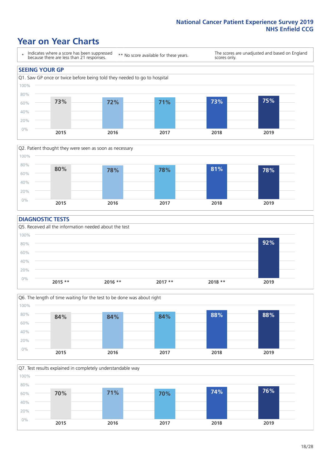### **Year on Year Charts**





#### **DIAGNOSTIC TESTS**





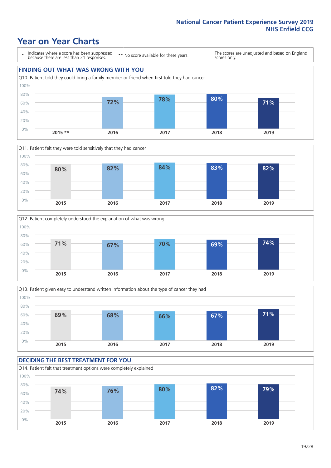### **Year on Year Charts**

\* Indicates where a score has been suppressed because there are less than 21 responses.

\*\* No score available for these years.

The scores are unadjusted and based on England scores only.

### **FINDING OUT WHAT WAS WRONG WITH YOU** Q10. Patient told they could bring a family member or friend when first told they had cancer 0% 20% 40% 60% 80% 100% **2015 \*\* 2016 2017 2018 2019 72% 78% 80% 71%**







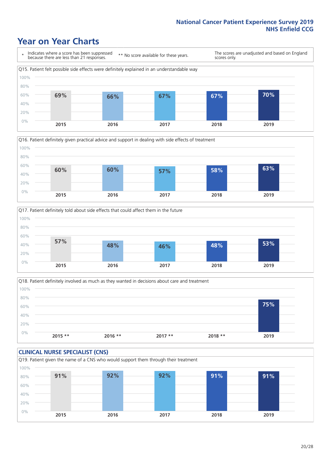### **Year on Year Charts**







Q18. Patient definitely involved as much as they wanted in decisions about care and treatment  $0%$ 20% 40% 60% 80% 100% **2015 \*\* 2016 \*\* 2017 \*\* 2018 \*\* 2019 75%**

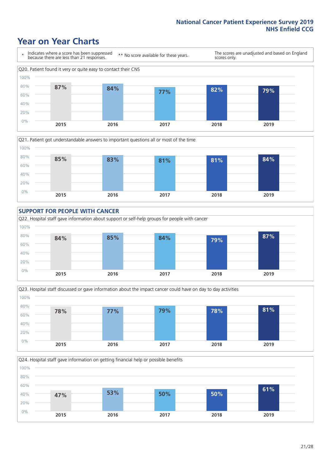### **Year on Year Charts**









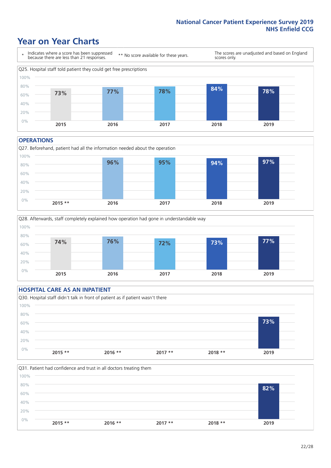### **Year on Year Charts**



#### **OPERATIONS**





### **HOSPITAL CARE AS AN INPATIENT** Q30. Hospital staff didn't talk in front of patient as if patient wasn't there 0% 20% 40% 60% 80% 100% **2015 \*\* 2016 \*\* 2017 \*\* 2018 \*\* 2019 73%**

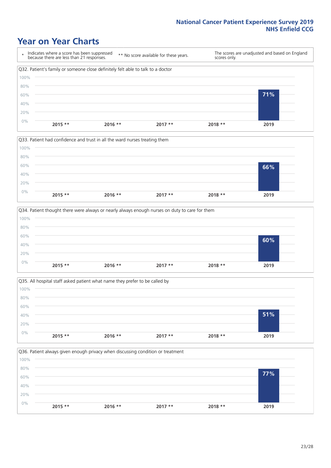### **Year on Year Charts**









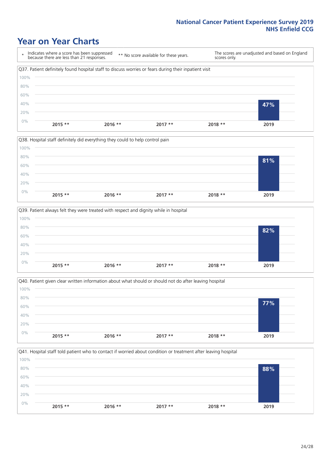### **Year on Year Charts**









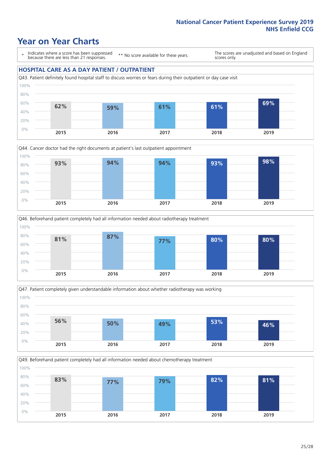### **Year on Year Charts**

\* Indicates where a score has been suppressed because there are less than 21 responses.

\*\* No score available for these years.

The scores are unadjusted and based on England scores only.

### **HOSPITAL CARE AS A DAY PATIENT / OUTPATIENT**









Q49. Beforehand patient completely had all information needed about chemotherapy treatment

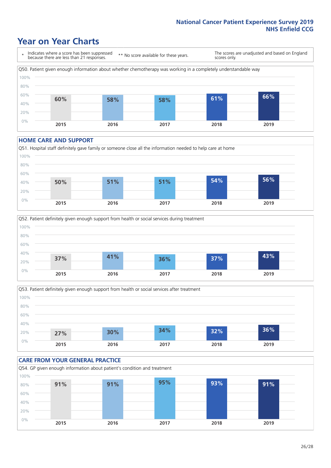### **Year on Year Charts**

\* Indicates where a score has been suppressed because there are less than 21 responses.

\*\* No score available for these years.

The scores are unadjusted and based on England scores only.



#### **HOME CARE AND SUPPORT**







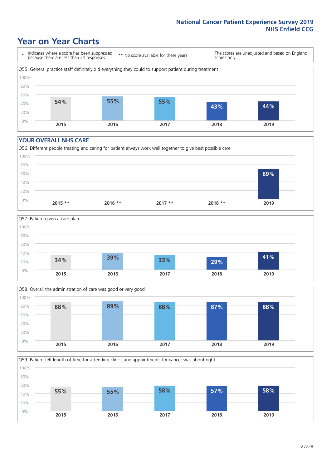### **Year on Year Charts**

\* Indicates where a score has been suppressed because there are less than 21 responses.

\*\* No score available for these years.

The scores are unadjusted and based on England scores only.



#### **YOUR OVERALL NHS CARE**







Q59. Patient felt length of time for attending clinics and appointments for cancer was about right